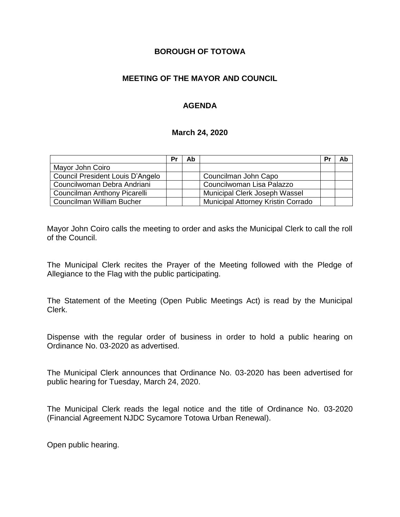#### **BOROUGH OF TOTOWA**

#### **MEETING OF THE MAYOR AND COUNCIL**

#### **AGENDA**

#### **March 24, 2020**

|                                  | Pr | Ab |                                    | Pr | Ab |
|----------------------------------|----|----|------------------------------------|----|----|
| Mayor John Coiro                 |    |    |                                    |    |    |
| Council President Louis D'Angelo |    |    | Councilman John Capo               |    |    |
| Councilwoman Debra Andriani      |    |    | Councilwoman Lisa Palazzo          |    |    |
| Councilman Anthony Picarelli     |    |    | Municipal Clerk Joseph Wassel      |    |    |
| Councilman William Bucher        |    |    | Municipal Attorney Kristin Corrado |    |    |

Mayor John Coiro calls the meeting to order and asks the Municipal Clerk to call the roll of the Council.

The Municipal Clerk recites the Prayer of the Meeting followed with the Pledge of Allegiance to the Flag with the public participating.

The Statement of the Meeting (Open Public Meetings Act) is read by the Municipal Clerk.

Dispense with the regular order of business in order to hold a public hearing on Ordinance No. 03-2020 as advertised.

The Municipal Clerk announces that Ordinance No. 03-2020 has been advertised for public hearing for Tuesday, March 24, 2020.

The Municipal Clerk reads the legal notice and the title of Ordinance No. 03-2020 (Financial Agreement NJDC Sycamore Totowa Urban Renewal).

Open public hearing.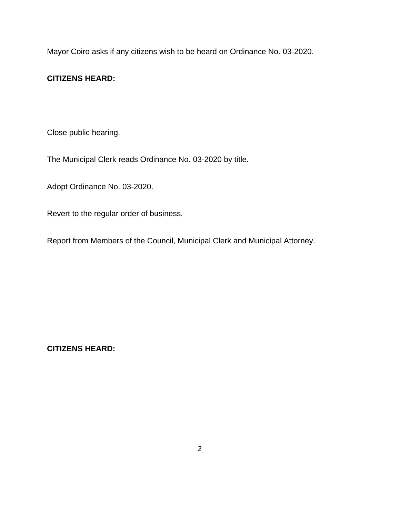Mayor Coiro asks if any citizens wish to be heard on Ordinance No. 03-2020.

## **CITIZENS HEARD:**

Close public hearing.

The Municipal Clerk reads Ordinance No. 03-2020 by title.

Adopt Ordinance No. 03-2020.

Revert to the regular order of business.

Report from Members of the Council, Municipal Clerk and Municipal Attorney.

**CITIZENS HEARD:**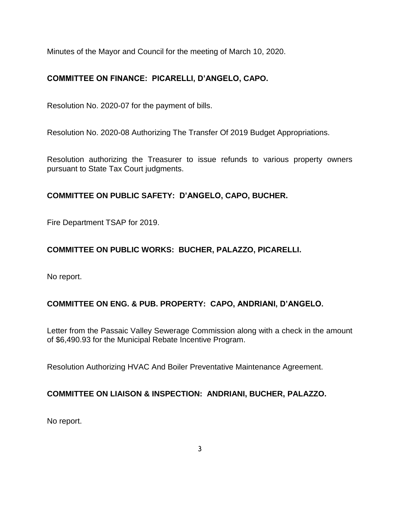Minutes of the Mayor and Council for the meeting of March 10, 2020.

# **COMMITTEE ON FINANCE: PICARELLI, D'ANGELO, CAPO.**

Resolution No. 2020-07 for the payment of bills.

Resolution No. 2020-08 Authorizing The Transfer Of 2019 Budget Appropriations.

Resolution authorizing the Treasurer to issue refunds to various property owners pursuant to State Tax Court judgments.

# **COMMITTEE ON PUBLIC SAFETY: D'ANGELO, CAPO, BUCHER.**

Fire Department TSAP for 2019.

# **COMMITTEE ON PUBLIC WORKS: BUCHER, PALAZZO, PICARELLI.**

No report.

## **COMMITTEE ON ENG. & PUB. PROPERTY: CAPO, ANDRIANI, D'ANGELO.**

Letter from the Passaic Valley Sewerage Commission along with a check in the amount of \$6,490.93 for the Municipal Rebate Incentive Program.

Resolution Authorizing HVAC And Boiler Preventative Maintenance Agreement.

## **COMMITTEE ON LIAISON & INSPECTION: ANDRIANI, BUCHER, PALAZZO.**

No report.